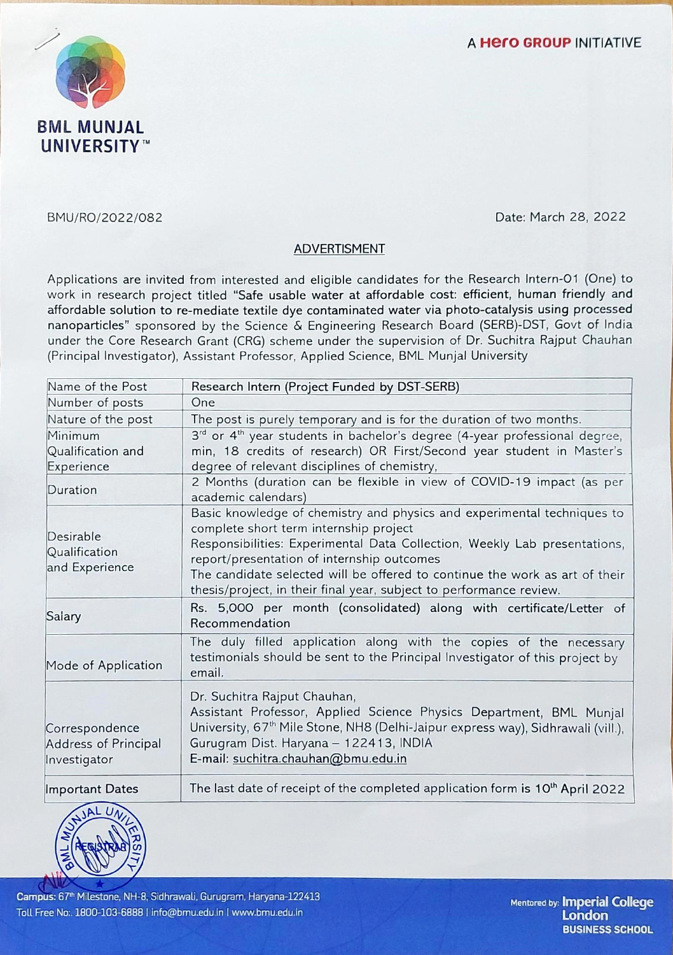

BMU/RO/2022/082 Date: March 28, 2022

## ADVERTISMENT

Applications are invited from interested and eligible candidates for the Research Intern-Ol (One) to work in research project titled "Safe usable water at affordable cost: efficient, human friendly and affordable solution to re-mediate textile dye contaminated water via photo-catalysis using processed nanoparticles" sponsored by the Science & Engineering Research Board (SERB)-DST, Govt of India under the Core Research Grant (CRG) scheme under the supervision of Dr. Suchitra Rajput Chauhan (Principal Investigator), Assistant Professor, Applied Science, BML Munjal University

| Name of the Post                                       | Research Intern (Project Funded by DST-SERB)                                                                                                                                                                                                                                                                                                                                                       |
|--------------------------------------------------------|----------------------------------------------------------------------------------------------------------------------------------------------------------------------------------------------------------------------------------------------------------------------------------------------------------------------------------------------------------------------------------------------------|
| Number of posts                                        | One                                                                                                                                                                                                                                                                                                                                                                                                |
| Nature of the post                                     | The post is purely temporary and is for the duration of two months.                                                                                                                                                                                                                                                                                                                                |
| Minimum                                                | 3rd or 4 <sup>th</sup> year students in bachelor's degree (4-year professional degree,                                                                                                                                                                                                                                                                                                             |
| Qualification and                                      | min, 18 credits of research) OR First/Second year student in Master's                                                                                                                                                                                                                                                                                                                              |
| Experience                                             | degree of relevant disciplines of chemistry,                                                                                                                                                                                                                                                                                                                                                       |
| Duration                                               | 2 Months (duration can be flexible in view of COVID-19 impact (as per<br>academic calendars)                                                                                                                                                                                                                                                                                                       |
| Desirable<br>Qualification<br>and Experience           | Basic knowledge of chemistry and physics and experimental techniques to<br>complete short term internship project<br>Responsibilities: Experimental Data Collection, Weekly Lab presentations,<br>report/presentation of internship outcomes<br>The candidate selected will be offered to continue the work as art of their<br>thesis/project, in their final year, subject to performance review. |
| Salary                                                 | Rs. 5,000 per month (consolidated) along with certificate/Letter of<br>Recommendation                                                                                                                                                                                                                                                                                                              |
| Mode of Application                                    | The duly filled application along with the copies of the necessary<br>testimonials should be sent to the Principal Investigator of this project by<br>email.                                                                                                                                                                                                                                       |
| Correspondence<br>Address of Principal<br>Investigator | Dr. Suchitra Rajput Chauhan,<br>Assistant Professor, Applied Science Physics Department, BML Munjal<br>University, 67 <sup>th</sup> Mile Stone, NH8 (Delhi-Jaipur express way), Sidhrawali (vill.),<br>Gurugram Dist. Haryana - 122413, INDIA<br>E-mail: suchitra.chauhan@bmu.edu.in                                                                                                               |
| <b>Important Dates</b>                                 | The last date of receipt of the completed application form is 10 <sup>th</sup> April 2022                                                                                                                                                                                                                                                                                                          |



Campus: 67<sup>th</sup> Milestone, NH-8, Sidhrawali, Gurugram, Haryana-122413 Toll Free No:. 1800-103-6888 1 info@bmu.edu.in I www.bmu.edu.in